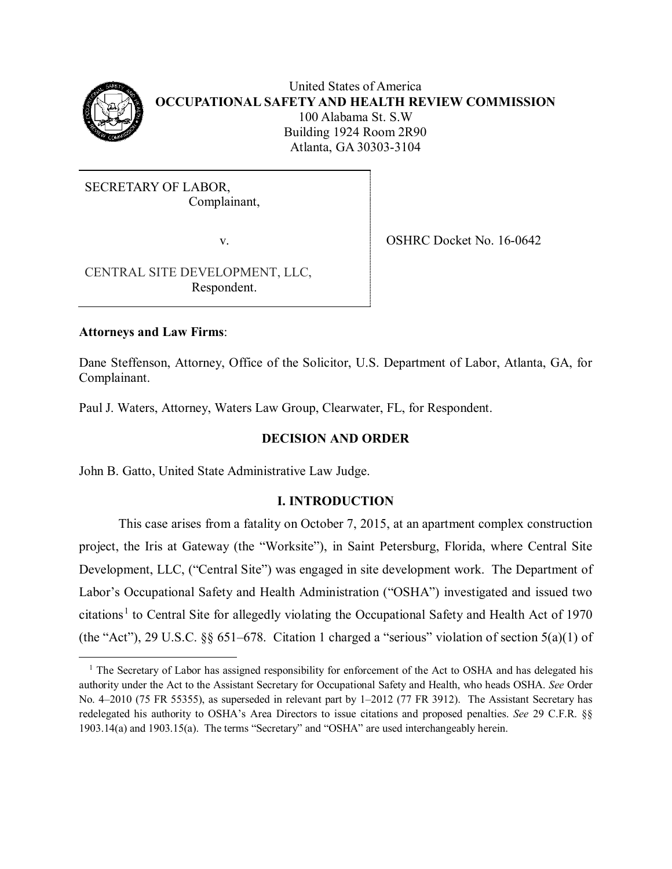

United States of America **OCCUPATIONAL SAFETY AND HEALTH REVIEW COMMISSION** 100 Alabama St. S.W Building 1924 Room 2R90 Atlanta, GA 30303-3104

SECRETARY OF LABOR, Complainant,

v.

OSHRC Docket No. 16-0642

 CENTRAL SITE DEVELOPMENT, LLC, Respondent.

# **Attorneys and Law Firms**:

Dane Steffenson, Attorney, Office of the Solicitor, U.S. Department of Labor, Atlanta, GA, for Complainant.

Paul J. Waters, Attorney, Waters Law Group, Clearwater, FL, for Respondent.

# **DECISION AND ORDER**

John B. Gatto, United State Administrative Law Judge.

# **I. INTRODUCTION**

This case arises from a fatality on October 7, 2015, at an apartment complex construction project, the Iris at Gateway (the "Worksite"), in Saint Petersburg, Florida, where Central Site Development, LLC, ("Central Site") was engaged in site development work. The Department of Labor's Occupational Safety and Health Administration ("OSHA") investigated and issued two citations<sup>[1](#page-0-0)</sup> to Central Site for allegedly violating the Occupational Safety and Health Act of 1970 (the "Act"), 29 U.S.C. §§ 651–678. Citation 1 charged a "serious" violation of section 5(a)(1) of

<span id="page-0-0"></span><sup>&</sup>lt;sup>1</sup> The Secretary of Labor has assigned responsibility for enforcement of the Act to OSHA and has delegated his authority under the Act to the Assistant Secretary for Occupational Safety and Health, who heads OSHA. *See* Order No. 4–2010 (75 FR 55355), as superseded in relevant part by 1–2012 (77 FR 3912). The Assistant Secretary has redelegated his authority to OSHA's Area Directors to issue citations and proposed penalties. *See* 29 C.F.R. §§ 1903.14(a) and 1903.15(a). The terms "Secretary" and "OSHA" are used interchangeably herein.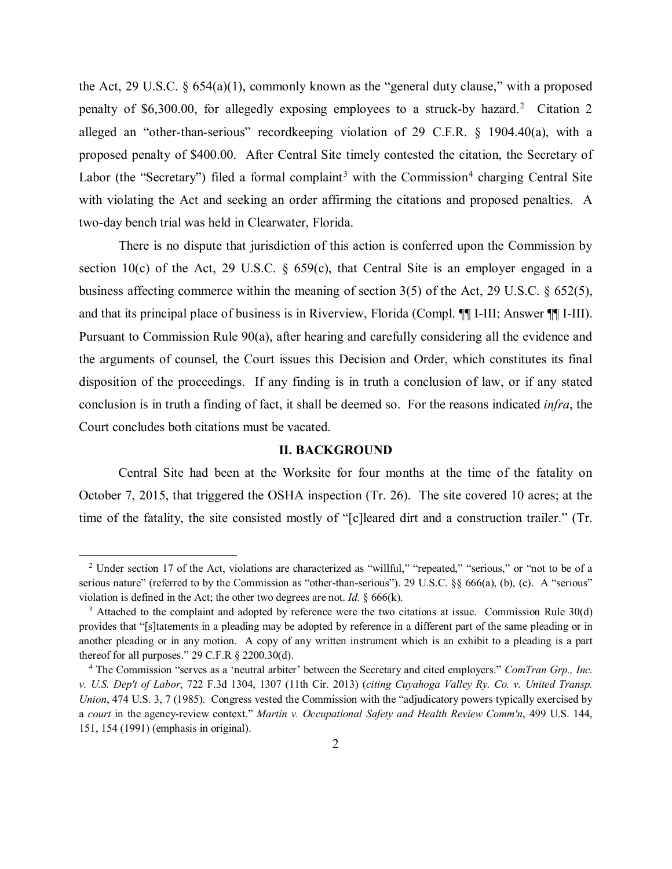the Act, 29 U.S.C. § 654(a)(1), commonly known as the "general duty clause," with a proposed penalty of \$6,300.00, for allegedly exposing employees to a struck-by hazard.<sup>[2](#page-1-0)</sup> Citation 2 alleged an "other-than-serious" recordkeeping violation of 29 C.F.R. § 1904.40(a), with a proposed penalty of \$400.00. After Central Site timely contested the citation, the Secretary of Labor (the "Secretary") filed a formal complaint<sup>[3](#page-1-1)</sup> with the Commission<sup>[4](#page-1-2)</sup> charging Central Site with violating the Act and seeking an order affirming the citations and proposed penalties. A two-day bench trial was held in Clearwater, Florida.

There is no dispute that jurisdiction of this action is conferred upon the Commission by section 10(c) of the Act, 29 U.S.C.  $\S$  659(c), that Central Site is an employer engaged in a business affecting commerce within the meaning of section 3(5) of the Act, 29 U.S.C. § 652(5), and that its principal place of business is in Riverview, Florida (Compl. ¶¶ I-III; Answer ¶¶ I-III). Pursuant to Commission Rule 90(a), after hearing and carefully considering all the evidence and the arguments of counsel, the Court issues this Decision and Order, which constitutes its final disposition of the proceedings. If any finding is in truth a conclusion of law, or if any stated conclusion is in truth a finding of fact, it shall be deemed so. For the reasons indicated *infra*, the Court concludes both citations must be vacated.

#### **II. BACKGROUND**

Central Site had been at the Worksite for four months at the time of the fatality on October 7, 2015, that triggered the OSHA inspection (Tr. 26). The site covered 10 acres; at the time of the fatality, the site consisted mostly of "[c]leared dirt and a construction trailer." (Tr.

<span id="page-1-0"></span>Ĩ. <sup>2</sup> Under section 17 of the Act, violations are characterized as "willful," "repeated," "serious," or "not to be of a serious nature" (referred to by the Commission as "other-than-serious"). 29 U.S.C. §§ 666(a), (b), (c). A "serious" violation is defined in the Act; the other two degrees are not. *Id.* § 666(k).

<span id="page-1-1"></span><sup>&</sup>lt;sup>3</sup> Attached to the complaint and adopted by reference were the two citations at issue. Commission Rule 30(d) provides that "[s]tatements in a pleading may be adopted by reference in a different part of the same pleading or in another pleading or in any motion. A copy of any written instrument which is an exhibit to a pleading is a part thereof for all purposes." 29 C.F.R § 2200.30(d).

<span id="page-1-2"></span><sup>4</sup> The Commission "serves as a 'neutral arbiter' between the Secretary and cited employers." *ComTran Grp., Inc. v. U.S. Dep't of Labor*, 722 F.3d 1304, 1307 (11th Cir. 2013) (*citing Cuyahoga Valley Ry. Co. v. United Transp. Union*, 474 U.S. 3, 7 (1985). Congress vested the Commission with the "adjudicatory powers typically exercised by a *court* in the agency-review context." *Martin v. Occupational Safety and Health Review Comm'n*, 499 U.S. 144, 151, 154 (1991) (emphasis in original).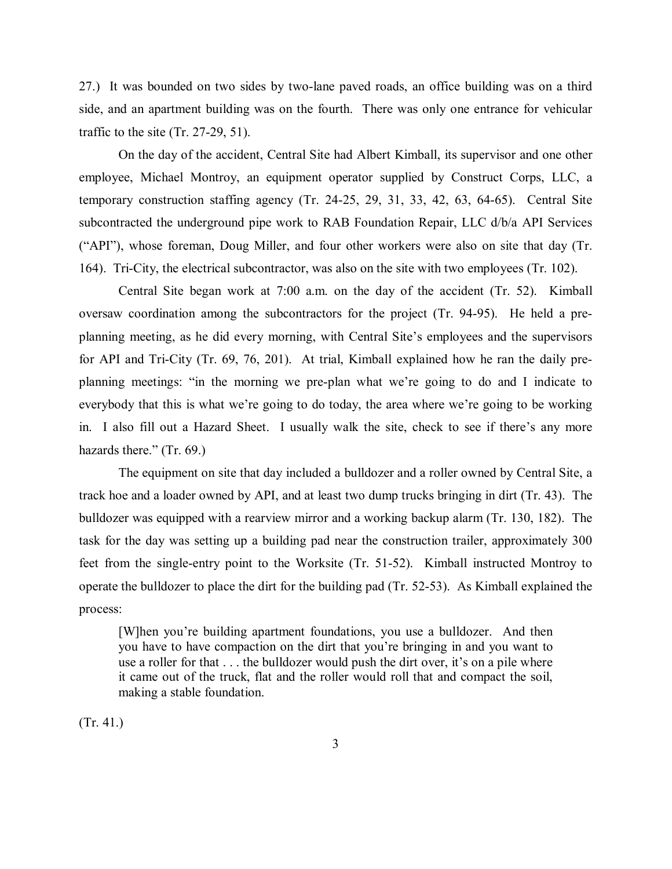27.) It was bounded on two sides by two-lane paved roads, an office building was on a third side, and an apartment building was on the fourth. There was only one entrance for vehicular traffic to the site (Tr. 27-29, 51).

On the day of the accident, Central Site had Albert Kimball, its supervisor and one other employee, Michael Montroy, an equipment operator supplied by Construct Corps, LLC, a temporary construction staffing agency (Tr. 24-25, 29, 31, 33, 42, 63, 64-65). Central Site subcontracted the underground pipe work to RAB Foundation Repair, LLC d/b/a API Services ("API"), whose foreman, Doug Miller, and four other workers were also on site that day (Tr. 164). Tri-City, the electrical subcontractor, was also on the site with two employees (Tr. 102).

Central Site began work at 7:00 a.m. on the day of the accident (Tr. 52). Kimball oversaw coordination among the subcontractors for the project (Tr. 94-95). He held a preplanning meeting, as he did every morning, with Central Site's employees and the supervisors for API and Tri-City (Tr. 69, 76, 201). At trial, Kimball explained how he ran the daily preplanning meetings: "in the morning we pre-plan what we're going to do and I indicate to everybody that this is what we're going to do today, the area where we're going to be working in. I also fill out a Hazard Sheet. I usually walk the site, check to see if there's any more hazards there." (Tr. 69.)

The equipment on site that day included a bulldozer and a roller owned by Central Site, a track hoe and a loader owned by API, and at least two dump trucks bringing in dirt (Tr. 43). The bulldozer was equipped with a rearview mirror and a working backup alarm (Tr. 130, 182). The task for the day was setting up a building pad near the construction trailer, approximately 300 feet from the single-entry point to the Worksite (Tr. 51-52). Kimball instructed Montroy to operate the bulldozer to place the dirt for the building pad (Tr. 52-53). As Kimball explained the process:

[W]hen you're building apartment foundations, you use a bulldozer. And then you have to have compaction on the dirt that you're bringing in and you want to use a roller for that . . . the bulldozer would push the dirt over, it's on a pile where it came out of the truck, flat and the roller would roll that and compact the soil, making a stable foundation.

(Tr. 41.)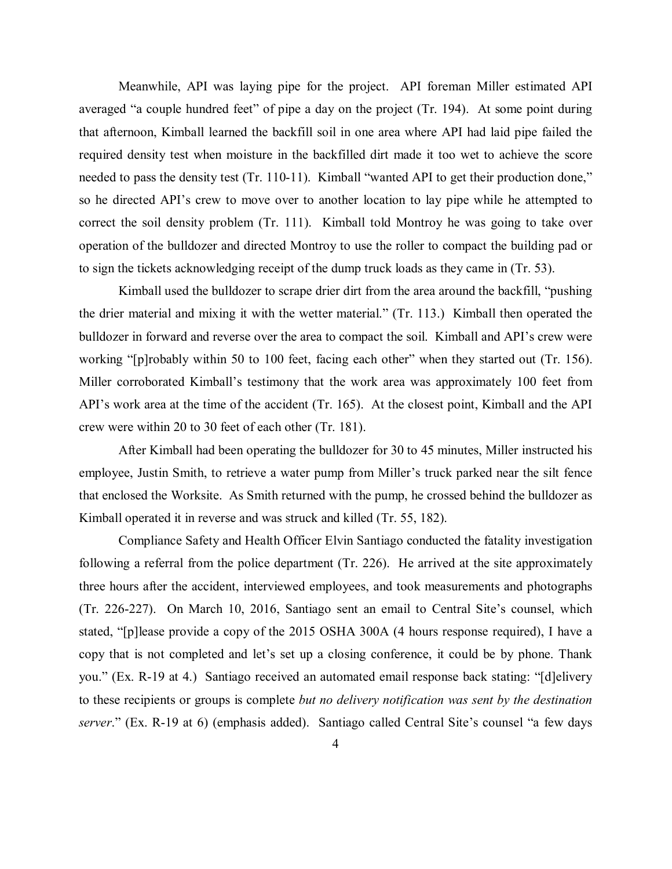Meanwhile, API was laying pipe for the project. API foreman Miller estimated API averaged "a couple hundred feet" of pipe a day on the project (Tr. 194). At some point during that afternoon, Kimball learned the backfill soil in one area where API had laid pipe failed the required density test when moisture in the backfilled dirt made it too wet to achieve the score needed to pass the density test (Tr. 110-11). Kimball "wanted API to get their production done," so he directed API's crew to move over to another location to lay pipe while he attempted to correct the soil density problem (Tr. 111). Kimball told Montroy he was going to take over operation of the bulldozer and directed Montroy to use the roller to compact the building pad or to sign the tickets acknowledging receipt of the dump truck loads as they came in (Tr. 53).

Kimball used the bulldozer to scrape drier dirt from the area around the backfill, "pushing the drier material and mixing it with the wetter material." (Tr. 113.) Kimball then operated the bulldozer in forward and reverse over the area to compact the soil. Kimball and API's crew were working "[p]robably within 50 to 100 feet, facing each other" when they started out (Tr. 156). Miller corroborated Kimball's testimony that the work area was approximately 100 feet from API's work area at the time of the accident (Tr. 165). At the closest point, Kimball and the API crew were within 20 to 30 feet of each other (Tr. 181).

After Kimball had been operating the bulldozer for 30 to 45 minutes, Miller instructed his employee, Justin Smith, to retrieve a water pump from Miller's truck parked near the silt fence that enclosed the Worksite. As Smith returned with the pump, he crossed behind the bulldozer as Kimball operated it in reverse and was struck and killed (Tr. 55, 182).

Compliance Safety and Health Officer Elvin Santiago conducted the fatality investigation following a referral from the police department (Tr. 226). He arrived at the site approximately three hours after the accident, interviewed employees, and took measurements and photographs (Tr. 226-227). On March 10, 2016, Santiago sent an email to Central Site's counsel, which stated, "[p]lease provide a copy of the 2015 OSHA 300A (4 hours response required), I have a copy that is not completed and let's set up a closing conference, it could be by phone. Thank you." (Ex. R-19 at 4.) Santiago received an automated email response back stating: "[d]elivery to these recipients or groups is complete *but no delivery notification was sent by the destination server*." (Ex. R-19 at 6) (emphasis added). Santiago called Central Site's counsel "a few days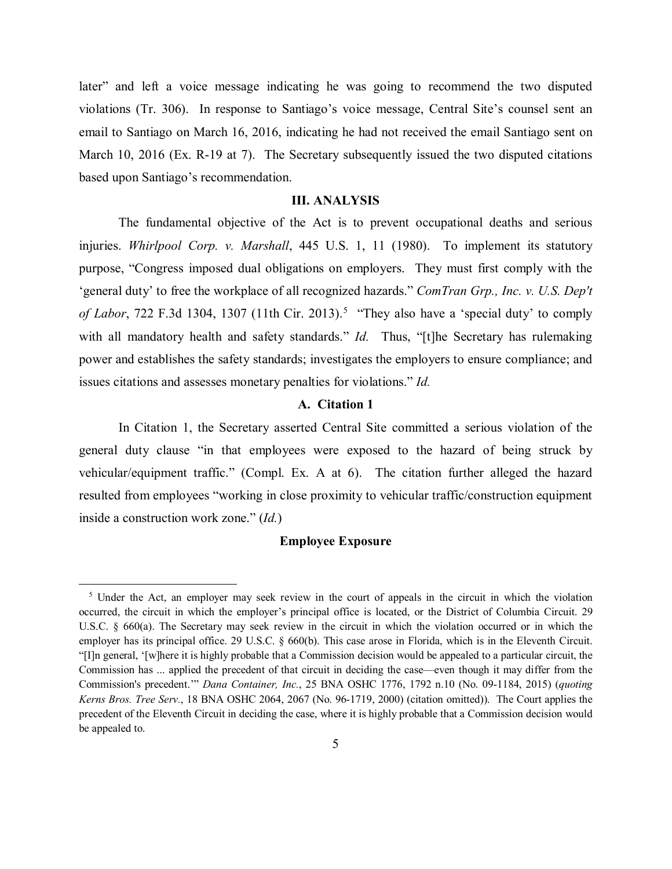later" and left a voice message indicating he was going to recommend the two disputed violations (Tr. 306). In response to Santiago's voice message, Central Site's counsel sent an email to Santiago on March 16, 2016, indicating he had not received the email Santiago sent on March 10, 2016 (Ex. R-19 at 7). The Secretary subsequently issued the two disputed citations based upon Santiago's recommendation.

### **III. ANALYSIS**

The fundamental objective of the Act is to prevent occupational deaths and serious injuries. *Whirlpool Corp. v. Marshall*, 445 U.S. 1, 11 (1980). To implement its statutory purpose, "Congress imposed dual obligations on employers. They must first comply with the 'general duty' to free the workplace of all recognized hazards." *ComTran Grp., Inc. v. U.S. Dep't*  of Labor, 722 F.3d 1304, 1307 (11th Cir. 2013).<sup>[5](#page-4-0)</sup> "They also have a 'special duty' to comply with all mandatory health and safety standards." *Id.* Thus, "[t]he Secretary has rulemaking power and establishes the safety standards; investigates the employers to ensure compliance; and issues citations and assesses monetary penalties for violations." *Id.*

# **A. Citation 1**

In Citation 1, the Secretary asserted Central Site committed a serious violation of the general duty clause "in that employees were exposed to the hazard of being struck by vehicular/equipment traffic." (Compl. Ex. A at 6). The citation further alleged the hazard resulted from employees "working in close proximity to vehicular traffic/construction equipment inside a construction work zone." (*Id.*)

#### **Employee Exposure**

<span id="page-4-0"></span><sup>&</sup>lt;sup>5</sup> Under the Act, an employer may seek review in the court of appeals in the circuit in which the violation occurred, the circuit in which the employer's principal office is located, or the District of Columbia Circuit. 29 U.S.C. § 660(a). The Secretary may seek review in the circuit in which the violation occurred or in which the employer has its principal office. 29 U.S.C. § 660(b). This case arose in Florida, which is in the Eleventh Circuit. "[I]n general, '[w]here it is highly probable that a Commission decision would be appealed to a particular circuit, the Commission has ... applied the precedent of that circuit in deciding the case—even though it may differ from the Commission's precedent.'" *Dana Container, Inc.*, 25 BNA OSHC 1776, 1792 n.10 (No. 09-1184, 2015) (*quoting Kerns Bros. Tree Serv.*, 18 BNA OSHC 2064, 2067 (No. 96-1719, 2000) (citation omitted)). The Court applies the precedent of the Eleventh Circuit in deciding the case, where it is highly probable that a Commission decision would be appealed to.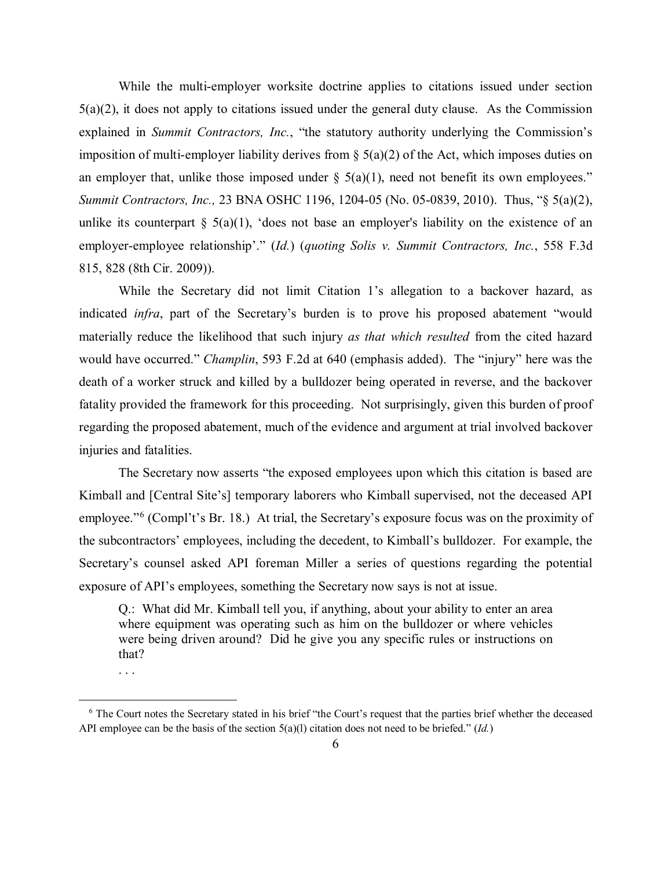While the multi-employer worksite doctrine applies to citations issued under section 5(a)(2), it does not apply to citations issued under the general duty clause. As the Commission explained in *Summit Contractors, Inc.*, "the statutory authority underlying the Commission's imposition of multi-employer liability derives from  $\S(5(a)(2))$  of the Act, which imposes duties on an employer that, unlike those imposed under  $\S(5(a)(1))$ , need not benefit its own employees." *Summit Contractors, Inc.,* 23 BNA OSHC 1196, 1204-05 (No. 05-0839, 2010). Thus, "§ 5(a)(2), unlike its counterpart  $\S$  5(a)(1), 'does not base an employer's liability on the existence of an employer-employee relationship'." (*Id.*) (*quoting Solis v. Summit Contractors, Inc.*, 558 F.3d 815, 828 (8th Cir. 2009)).

While the Secretary did not limit Citation 1's allegation to a backover hazard, as indicated *infra*, part of the Secretary's burden is to prove his proposed abatement "would materially reduce the likelihood that such injury *as that which resulted* from the cited hazard would have occurred." *Champlin*, 593 F.2d at 640 (emphasis added). The "injury" here was the death of a worker struck and killed by a bulldozer being operated in reverse, and the backover fatality provided the framework for this proceeding. Not surprisingly, given this burden of proof regarding the proposed abatement, much of the evidence and argument at trial involved backover injuries and fatalities.

The Secretary now asserts "the exposed employees upon which this citation is based are Kimball and [Central Site's] temporary laborers who Kimball supervised, not the deceased API employee."[6](#page-5-0) (Compl't's Br. 18.) At trial, the Secretary's exposure focus was on the proximity of the subcontractors' employees, including the decedent, to Kimball's bulldozer. For example, the Secretary's counsel asked API foreman Miller a series of questions regarding the potential exposure of API's employees, something the Secretary now says is not at issue.

Q.: What did Mr. Kimball tell you, if anything, about your ability to enter an area where equipment was operating such as him on the bulldozer or where vehicles were being driven around? Did he give you any specific rules or instructions on that?

<sup>. . .</sup>

<span id="page-5-0"></span><sup>6</sup> The Court notes the Secretary stated in his brief "the Court's request that the parties brief whether the deceased API employee can be the basis of the section  $5(a)(l)$  citation does not need to be briefed." (*Id.*)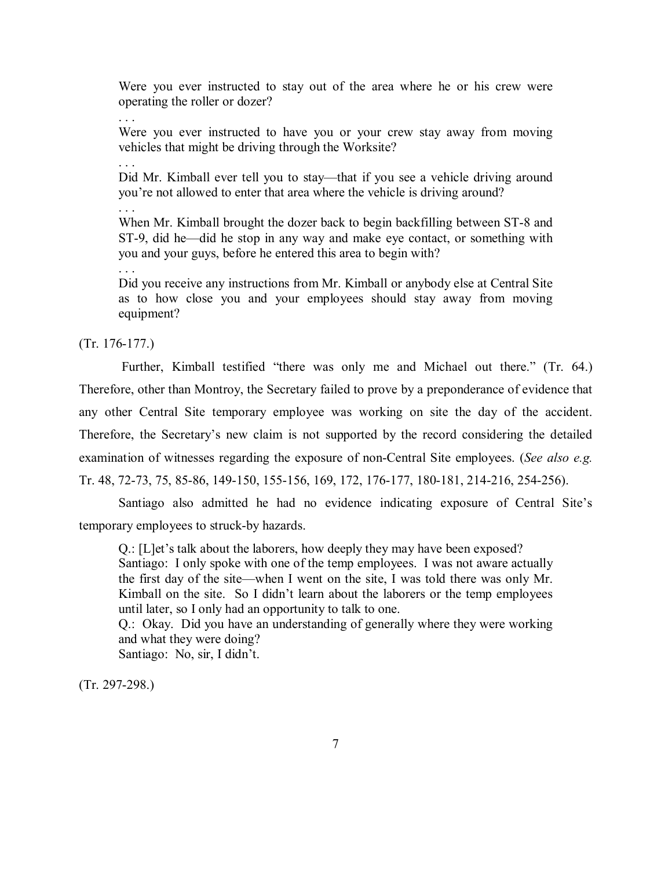Were you ever instructed to stay out of the area where he or his crew were operating the roller or dozer?

. . .

. . .

Were you ever instructed to have you or your crew stay away from moving vehicles that might be driving through the Worksite?

Did Mr. Kimball ever tell you to stay—that if you see a vehicle driving around you're not allowed to enter that area where the vehicle is driving around?

. . .

When Mr. Kimball brought the dozer back to begin backfilling between ST-8 and ST-9, did he—did he stop in any way and make eye contact, or something with you and your guys, before he entered this area to begin with?

. . .

Did you receive any instructions from Mr. Kimball or anybody else at Central Site as to how close you and your employees should stay away from moving equipment?

(Tr. 176-177.)

Further, Kimball testified "there was only me and Michael out there." (Tr. 64.) Therefore, other than Montroy, the Secretary failed to prove by a preponderance of evidence that any other Central Site temporary employee was working on site the day of the accident. Therefore, the Secretary's new claim is not supported by the record considering the detailed examination of witnesses regarding the exposure of non-Central Site employees. (*See also e.g.*  Tr. 48, 72-73, 75, 85-86, 149-150, 155-156, 169, 172, 176-177, 180-181, 214-216, 254-256).

Santiago also admitted he had no evidence indicating exposure of Central Site's temporary employees to struck-by hazards.

Q.: [L]et's talk about the laborers, how deeply they may have been exposed? Santiago: I only spoke with one of the temp employees. I was not aware actually the first day of the site—when I went on the site, I was told there was only Mr. Kimball on the site. So I didn't learn about the laborers or the temp employees until later, so I only had an opportunity to talk to one.

Q.: Okay. Did you have an understanding of generally where they were working and what they were doing?

Santiago: No, sir, I didn't.

(Tr. 297-298.)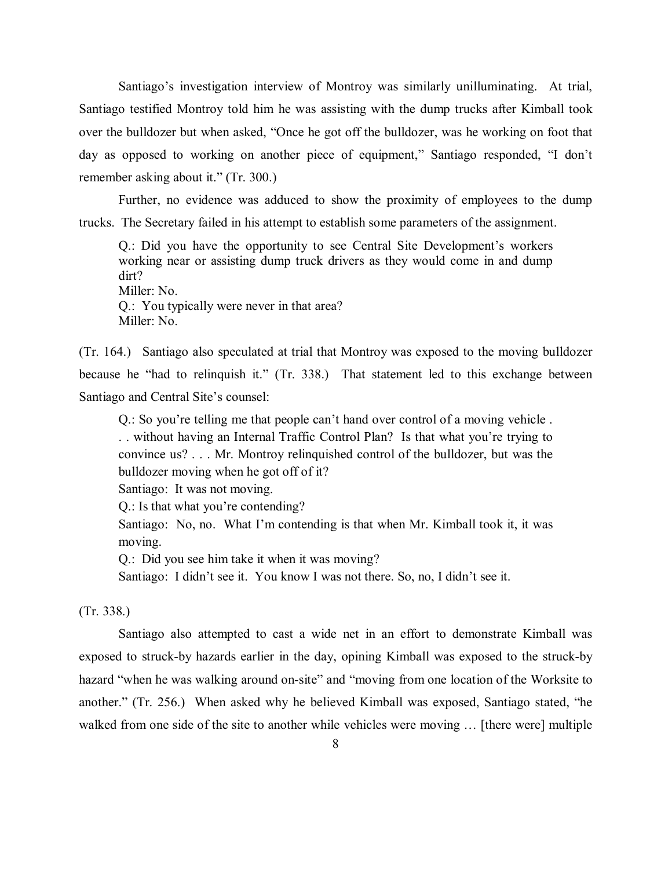Santiago's investigation interview of Montroy was similarly unilluminating. At trial, Santiago testified Montroy told him he was assisting with the dump trucks after Kimball took over the bulldozer but when asked, "Once he got off the bulldozer, was he working on foot that day as opposed to working on another piece of equipment," Santiago responded, "I don't remember asking about it." (Tr. 300.)

Further, no evidence was adduced to show the proximity of employees to the dump trucks. The Secretary failed in his attempt to establish some parameters of the assignment.

Q.: Did you have the opportunity to see Central Site Development's workers working near or assisting dump truck drivers as they would come in and dump dirt? Miller: No. Q.: You typically were never in that area? Miller: No.

(Tr. 164.) Santiago also speculated at trial that Montroy was exposed to the moving bulldozer because he "had to relinquish it." (Tr. 338.) That statement led to this exchange between Santiago and Central Site's counsel:

Q.: So you're telling me that people can't hand over control of a moving vehicle .

. . without having an Internal Traffic Control Plan? Is that what you're trying to convince us? . . . Mr. Montroy relinquished control of the bulldozer, but was the bulldozer moving when he got off of it?

Santiago: It was not moving.

Q.: Is that what you're contending?

Santiago: No, no. What I'm contending is that when Mr. Kimball took it, it was moving.

Q.: Did you see him take it when it was moving?

Santiago: I didn't see it. You know I was not there. So, no, I didn't see it.

# (Tr. 338.)

Santiago also attempted to cast a wide net in an effort to demonstrate Kimball was exposed to struck-by hazards earlier in the day, opining Kimball was exposed to the struck-by hazard "when he was walking around on-site" and "moving from one location of the Worksite to another." (Tr. 256.) When asked why he believed Kimball was exposed, Santiago stated, "he walked from one side of the site to another while vehicles were moving … [there were] multiple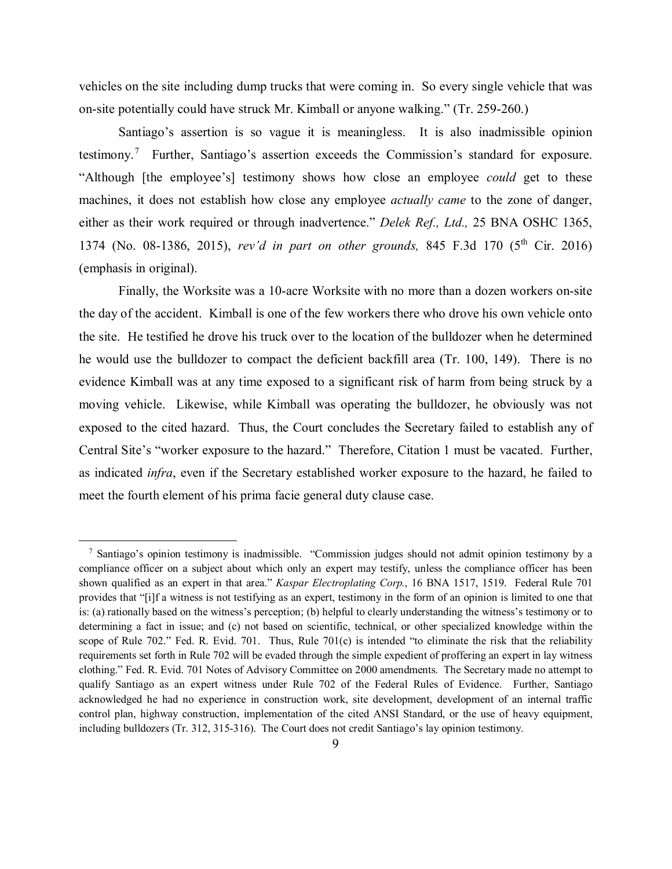vehicles on the site including dump trucks that were coming in. So every single vehicle that was on-site potentially could have struck Mr. Kimball or anyone walking." (Tr. 259-260.)

Santiago's assertion is so vague it is meaningless. It is also inadmissible opinion testimony.<sup>[7](#page-8-0)</sup> Further, Santiago's assertion exceeds the Commission's standard for exposure. "Although [the employee's] testimony shows how close an employee *could* get to these machines, it does not establish how close any employee *actually came* to the zone of danger, either as their work required or through inadvertence." *Delek Ref., Ltd.,* 25 BNA OSHC 1365, 1374 (No. 08-1386, 2015), *rev'd in part on other grounds,* 845 F.3d 170 (5th Cir. 2016) (emphasis in original).

Finally, the Worksite was a 10-acre Worksite with no more than a dozen workers on-site the day of the accident. Kimball is one of the few workers there who drove his own vehicle onto the site. He testified he drove his truck over to the location of the bulldozer when he determined he would use the bulldozer to compact the deficient backfill area (Tr. 100, 149). There is no evidence Kimball was at any time exposed to a significant risk of harm from being struck by a moving vehicle. Likewise, while Kimball was operating the bulldozer, he obviously was not exposed to the cited hazard. Thus, the Court concludes the Secretary failed to establish any of Central Site's "worker exposure to the hazard." Therefore, Citation 1 must be vacated. Further, as indicated *infra*, even if the Secretary established worker exposure to the hazard, he failed to meet the fourth element of his prima facie general duty clause case.

<span id="page-8-0"></span><sup>&</sup>lt;sup>7</sup> Santiago's opinion testimony is inadmissible. "Commission judges should not admit opinion testimony by a compliance officer on a subject about which only an expert may testify, unless the compliance officer has been shown qualified as an expert in that area." *Kaspar Electroplating Corp.*, 16 BNA 1517, 1519. Federal Rule 701 provides that "[i]f a witness is not testifying as an expert, testimony in the form of an opinion is limited to one that is: (a) rationally based on the witness's perception; (b) helpful to clearly understanding the witness's testimony or to determining a fact in issue; and (c) not based on scientific, technical, or other specialized knowledge within the scope of Rule 702." Fed. R. Evid. 701. Thus, Rule 701(c) is intended "to eliminate the risk that the reliability requirements set forth in Rule 702 will be evaded through the simple expedient of proffering an expert in lay witness clothing." Fed. R. Evid. 701 Notes of Advisory Committee on 2000 amendments. The Secretary made no attempt to qualify Santiago as an expert witness under Rule 702 of the Federal Rules of Evidence. Further, Santiago acknowledged he had no experience in construction work, site development, development of an internal traffic control plan, highway construction, implementation of the cited ANSI Standard, or the use of heavy equipment, including bulldozers (Tr. 312, 315-316). The Court does not credit Santiago's lay opinion testimony.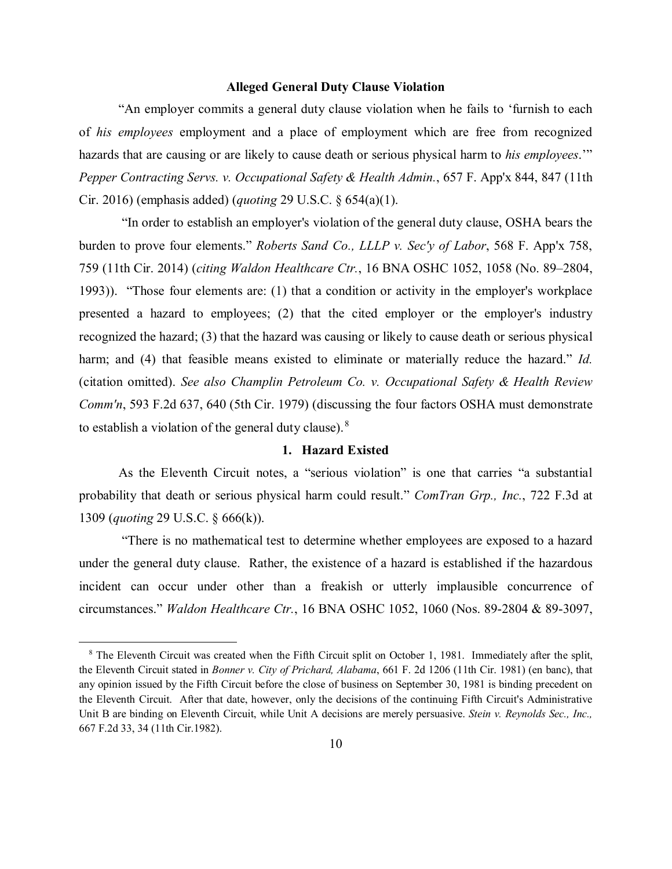### **Alleged General Duty Clause Violation**

"An employer commits a general duty clause violation when he fails to 'furnish to each of *his employees* employment and a place of employment which are free from recognized hazards that are causing or are likely to cause death or serious physical harm to *his employees*.'" *Pepper Contracting Servs. v. Occupational Safety & Health Admin.*, 657 F. App'x 844, 847 (11th Cir. 2016) (emphasis added) (*quoting* 29 U.S.C. § 654(a)(1).

 "In order to establish an employer's violation of the general duty clause, OSHA bears the burden to prove four elements." *Roberts Sand Co., LLLP v. Sec'y of Labor*, 568 F. App'x 758, 759 (11th Cir. 2014) (*citing Waldon Healthcare Ctr.*, 16 BNA OSHC 1052, 1058 (No. 89–2804, 1993)). "Those four elements are: (1) that a condition or activity in the employer's workplace presented a hazard to employees; (2) that the cited employer or the employer's industry recognized the hazard; (3) that the hazard was causing or likely to cause death or serious physical harm; and (4) that feasible means existed to eliminate or materially reduce the hazard." *Id.* (citation omitted). *See also Champlin Petroleum Co. v. Occupational Safety & Health Review Comm'n*, 593 F.2d 637, 640 (5th Cir. 1979) (discussing the four factors OSHA must demonstrate to establish a violation of the general duty clause). $8$ 

# **1. Hazard Existed**

As the Eleventh Circuit notes, a "serious violation" is one that carries "a substantial probability that death or serious physical harm could result." *ComTran Grp., Inc.*, 722 F.3d at 1309 (*quoting* 29 U.S.C. § 666(k)).

"There is no mathematical test to determine whether employees are exposed to a hazard under the general duty clause. Rather, the existence of a hazard is established if the hazardous incident can occur under other than a freakish or utterly implausible concurrence of circumstances." *Waldon Healthcare Ctr.*, 16 BNA OSHC 1052, 1060 (Nos. 89-2804 & 89-3097,

<span id="page-9-0"></span><sup>&</sup>lt;sup>8</sup> The Eleventh Circuit was created when the Fifth Circuit split on October 1, 1981. Immediately after the split, the Eleventh Circuit stated in *Bonner v. City of Prichard, Alabama*, 661 F. 2d 1206 (11th Cir. 1981) (en banc), that any opinion issued by the Fifth Circuit before the close of business on September 30, 1981 is binding precedent on the Eleventh Circuit. After that date, however, only the decisions of the continuing Fifth Circuit's Administrative Unit B are binding on Eleventh Circuit, while Unit A decisions are merely persuasive. *Stein v. Reynolds Sec., Inc.,*  667 F.2d 33, 34 (11th Cir.1982).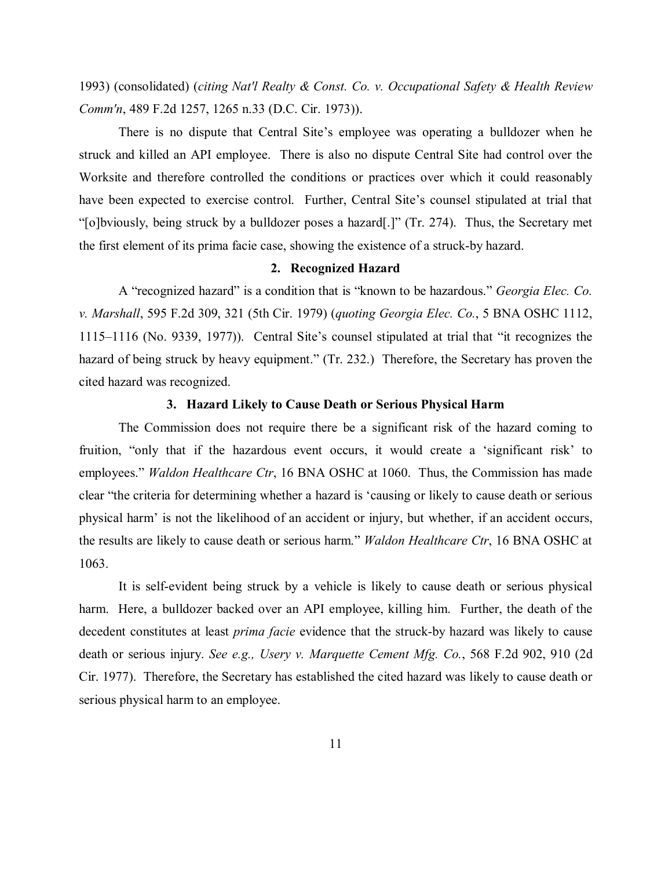1993) (consolidated) (*citing Nat'l Realty & Const. Co. v. Occupational Safety & Health Review Comm'n*, 489 F.2d 1257, 1265 n.33 (D.C. Cir. 1973)).

There is no dispute that Central Site's employee was operating a bulldozer when he struck and killed an API employee. There is also no dispute Central Site had control over the Worksite and therefore controlled the conditions or practices over which it could reasonably have been expected to exercise control. Further, Central Site's counsel stipulated at trial that "[o]bviously, being struck by a bulldozer poses a hazard[.]" (Tr. 274). Thus, the Secretary met the first element of its prima facie case, showing the existence of a struck-by hazard.

### **2. Recognized Hazard**

A "recognized hazard" is a condition that is "known to be hazardous." *Georgia Elec. Co. v. Marshall*, 595 F.2d 309, 321 (5th Cir. 1979) (*quoting Georgia Elec. Co.*, 5 BNA OSHC 1112, 1115–1116 (No. 9339, 1977)). Central Site's counsel stipulated at trial that "it recognizes the hazard of being struck by heavy equipment." (Tr. 232.) Therefore, the Secretary has proven the cited hazard was recognized.

# **3. Hazard Likely to Cause Death or Serious Physical Harm**

The Commission does not require there be a significant risk of the hazard coming to fruition, "only that if the hazardous event occurs, it would create a 'significant risk' to employees." *Waldon Healthcare Ctr*, 16 BNA OSHC at 1060. Thus, the Commission has made clear "the criteria for determining whether a hazard is 'causing or likely to cause death or serious physical harm' is not the likelihood of an accident or injury, but whether, if an accident occurs, the results are likely to cause death or serious harm." *Waldon Healthcare Ctr*, 16 BNA OSHC at 1063.

It is self-evident being struck by a vehicle is likely to cause death or serious physical harm. Here, a bulldozer backed over an API employee, killing him. Further, the death of the decedent constitutes at least *prima facie* evidence that the struck-by hazard was likely to cause death or serious injury. *See e.g., Usery v. Marquette Cement Mfg. Co.*, 568 F.2d 902, 910 (2d Cir. 1977). Therefore, the Secretary has established the cited hazard was likely to cause death or serious physical harm to an employee.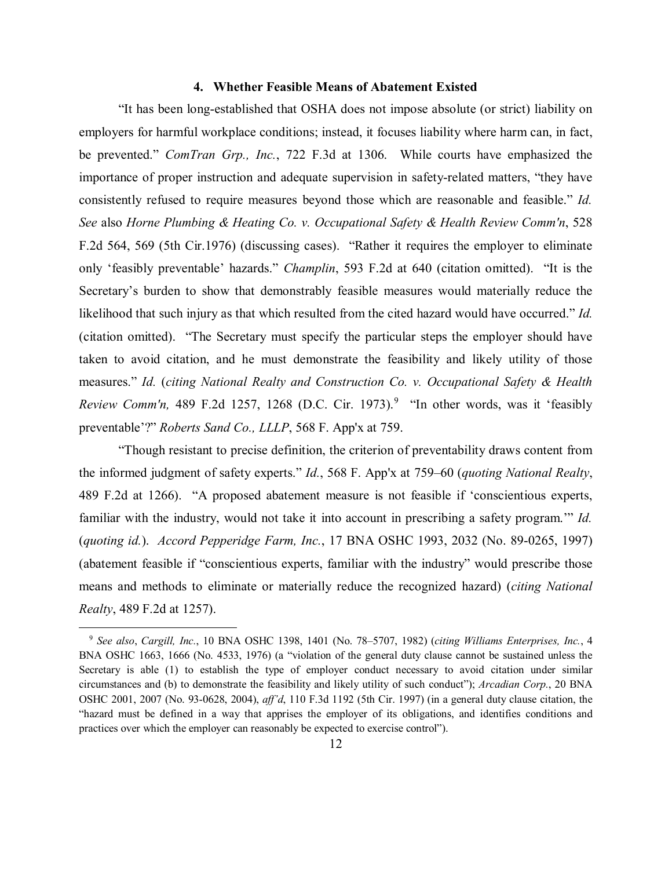### **4. Whether Feasible Means of Abatement Existed**

"It has been long-established that OSHA does not impose absolute (or strict) liability on employers for harmful workplace conditions; instead, it focuses liability where harm can, in fact, be prevented." *ComTran Grp., Inc.*, 722 F.3d at 1306. While courts have emphasized the importance of proper instruction and adequate supervision in safety-related matters, "they have consistently refused to require measures beyond those which are reasonable and feasible." *Id. See* also *Horne Plumbing & Heating Co. v. Occupational Safety & Health Review Comm'n*, 528 F.2d 564, 569 (5th Cir.1976) (discussing cases). "Rather it requires the employer to eliminate only 'feasibly preventable' hazards." *Champlin*, 593 F.2d at 640 (citation omitted). "It is the Secretary's burden to show that demonstrably feasible measures would materially reduce the likelihood that such injury as that which resulted from the cited hazard would have occurred." *Id.* (citation omitted). "The Secretary must specify the particular steps the employer should have taken to avoid citation, and he must demonstrate the feasibility and likely utility of those measures." *Id.* (*citing National Realty and Construction Co. v. Occupational Safety & Health Review Comm'n,* 489 F.2d 1257, 1268 (D.C. Cir. 1973). [9](#page-11-0) "In other words, was it 'feasibly preventable'?" *Roberts Sand Co., LLLP*, 568 F. App'x at 759.

"Though resistant to precise definition, the criterion of preventability draws content from the informed judgment of safety experts." *Id.*, 568 F. App'x at 759–60 (*quoting National Realty*, 489 F.2d at 1266). "A proposed abatement measure is not feasible if 'conscientious experts, familiar with the industry, would not take it into account in prescribing a safety program.'" *Id.* (*quoting id.*). *Accord Pepperidge Farm, Inc.*, 17 BNA OSHC 1993, 2032 (No. 89-0265, 1997) (abatement feasible if "conscientious experts, familiar with the industry" would prescribe those means and methods to eliminate or materially reduce the recognized hazard) (*citing National Realty*, 489 F.2d at 1257).

<span id="page-11-0"></span><sup>9</sup> *See also*, *Cargill, Inc.*, 10 BNA OSHC 1398, 1401 (No. 78–5707, 1982) (*citing Williams Enterprises, Inc.*, 4 BNA OSHC 1663, 1666 (No. 4533, 1976) (a "violation of the general duty clause cannot be sustained unless the Secretary is able (1) to establish the type of employer conduct necessary to avoid citation under similar circumstances and (b) to demonstrate the feasibility and likely utility of such conduct"); *Arcadian Corp.*, 20 BNA OSHC 2001, 2007 (No. 93-0628, 2004), *aff'd*, 110 F.3d 1192 (5th Cir. 1997) (in a general duty clause citation, the "hazard must be defined in a way that apprises the employer of its obligations, and identifies conditions and practices over which the employer can reasonably be expected to exercise control").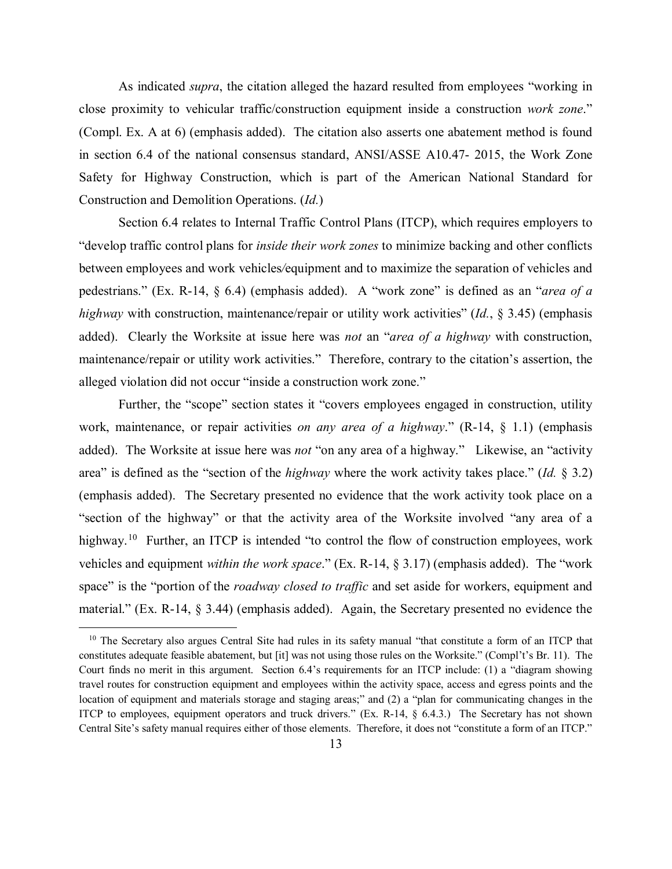As indicated *supra*, the citation alleged the hazard resulted from employees "working in close proximity to vehicular traffic/construction equipment inside a construction *work zone*." (Compl. Ex. A at 6) (emphasis added). The citation also asserts one abatement method is found in section 6.4 of the national consensus standard, ANSI/ASSE A10.47- 2015, the Work Zone Safety for Highway Construction, which is part of the American National Standard for Construction and Demolition Operations. (*Id.*)

Section 6.4 relates to Internal Traffic Control Plans (ITCP), which requires employers to "develop traffic control plans for *inside their work zones* to minimize backing and other conflicts between employees and work vehicles*/*equipment and to maximize the separation of vehicles and pedestrians." (Ex. R-14, § 6.4) (emphasis added). A "work zone" is defined as an "*area of a highway* with construction, maintenance/repair or utility work activities" (*Id.*, § 3.45) (emphasis added). Clearly the Worksite at issue here was *not* an "*area of a highway* with construction, maintenance/repair or utility work activities." Therefore, contrary to the citation's assertion, the alleged violation did not occur "inside a construction work zone."

Further, the "scope" section states it "covers employees engaged in construction, utility work, maintenance, or repair activities *on any area of a highway*." (R-14, § 1.1) (emphasis added). The Worksite at issue here was *not* "on any area of a highway." Likewise, an "activity area" is defined as the "section of the *highway* where the work activity takes place." (*Id.* § 3.2) (emphasis added). The Secretary presented no evidence that the work activity took place on a "section of the highway" or that the activity area of the Worksite involved "any area of a highway.<sup>[10](#page-12-0)</sup> Further, an ITCP is intended "to control the flow of construction employees, work vehicles and equipment *within the work space*." (Ex. R-14, § 3.17) (emphasis added). The "work space" is the "portion of the *roadway closed to traffic* and set aside for workers, equipment and material." (Ex. R-14, § 3.44) (emphasis added). Again, the Secretary presented no evidence the

<span id="page-12-0"></span> $10$  The Secretary also argues Central Site had rules in its safety manual "that constitute a form of an ITCP that constitutes adequate feasible abatement, but [it] was not using those rules on the Worksite." (Compl't's Br. 11). The Court finds no merit in this argument. Section 6.4's requirements for an ITCP include: (1) a "diagram showing travel routes for construction equipment and employees within the activity space, access and egress points and the location of equipment and materials storage and staging areas;" and (2) a "plan for communicating changes in the ITCP to employees, equipment operators and truck drivers." (Ex. R-14, § 6.4.3.) The Secretary has not shown Central Site's safety manual requires either of those elements. Therefore, it does not "constitute a form of an ITCP."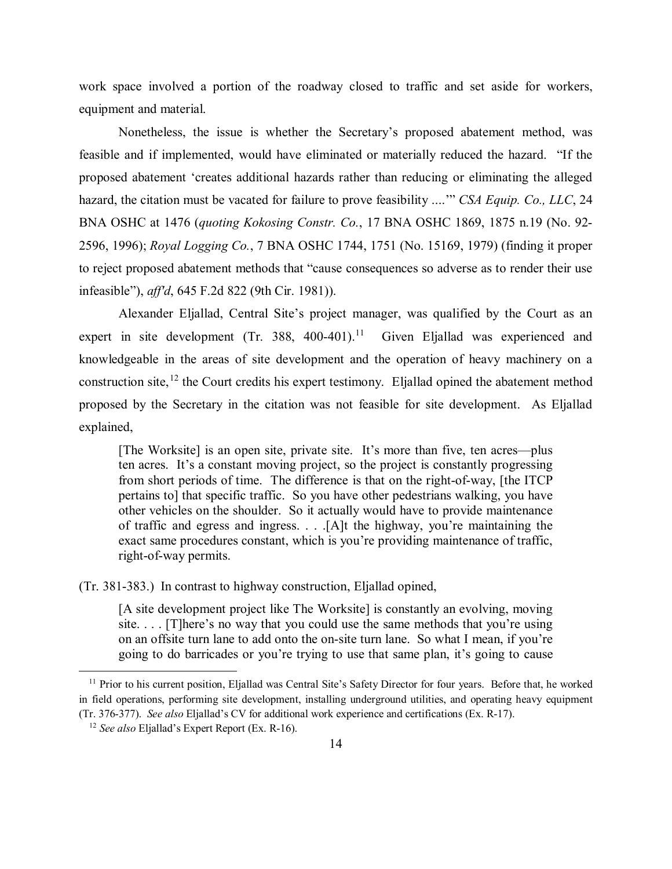work space involved a portion of the roadway closed to traffic and set aside for workers, equipment and material.

Nonetheless, the issue is whether the Secretary's proposed abatement method, was feasible and if implemented, would have eliminated or materially reduced the hazard. "If the proposed abatement 'creates additional hazards rather than reducing or eliminating the alleged hazard, the citation must be vacated for failure to prove feasibility ....'" *CSA Equip. Co., LLC*, 24 BNA OSHC at 1476 (*quoting Kokosing Constr. Co.*, 17 BNA OSHC 1869, 1875 n.19 (No. 92- 2596, 1996); *Royal Logging Co.*, 7 BNA OSHC 1744, 1751 (No. 15169, 1979) (finding it proper to reject proposed abatement methods that "cause consequences so adverse as to render their use infeasible"), *aff'd*, 645 F.2d 822 (9th Cir. 1981)).

Alexander Eljallad, Central Site's project manager, was qualified by the Court as an expert in site development (Tr. 388, 400-401).<sup>[11](#page-13-0)</sup> Given Eljallad was experienced and knowledgeable in the areas of site development and the operation of heavy machinery on a construction site,<sup>[12](#page-13-1)</sup> the Court credits his expert testimony. Eljallad opined the abatement method proposed by the Secretary in the citation was not feasible for site development. As Eljallad explained,

[The Worksite] is an open site, private site. It's more than five, ten acres—plus ten acres. It's a constant moving project, so the project is constantly progressing from short periods of time. The difference is that on the right-of-way, [the ITCP pertains to] that specific traffic. So you have other pedestrians walking, you have other vehicles on the shoulder. So it actually would have to provide maintenance of traffic and egress and ingress. . . .[A]t the highway, you're maintaining the exact same procedures constant, which is you're providing maintenance of traffic, right-of-way permits.

(Tr. 381-383.) In contrast to highway construction, Eljallad opined,

[A site development project like The Worksite] is constantly an evolving, moving site. . . . [T]here's no way that you could use the same methods that you're using on an offsite turn lane to add onto the on-site turn lane. So what I mean, if you're going to do barricades or you're trying to use that same plan, it's going to cause

<span id="page-13-0"></span><sup>&</sup>lt;sup>11</sup> Prior to his current position, Eljallad was Central Site's Safety Director for four years. Before that, he worked in field operations, performing site development, installing underground utilities, and operating heavy equipment (Tr. 376-377). *See also* Eljallad's CV for additional work experience and certifications (Ex. R-17). 12 *See also* Eljallad's Expert Report (Ex. R-16).

<span id="page-13-1"></span>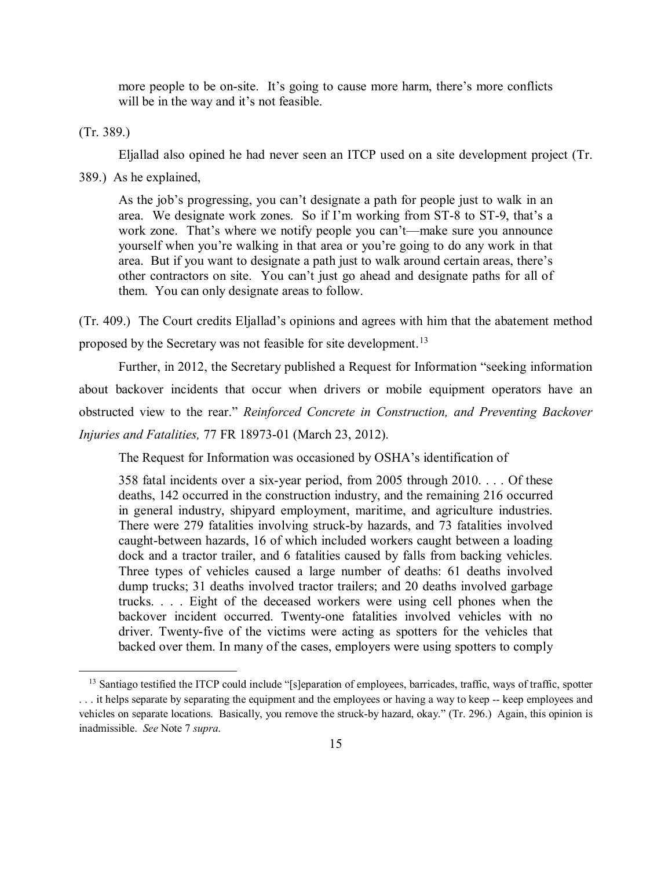more people to be on-site. It's going to cause more harm, there's more conflicts will be in the way and it's not feasible.

(Tr. 389.)

Eljallad also opined he had never seen an ITCP used on a site development project (Tr.

389.) As he explained,

As the job's progressing, you can't designate a path for people just to walk in an area. We designate work zones. So if I'm working from ST-8 to ST-9, that's a work zone. That's where we notify people you can't—make sure you announce yourself when you're walking in that area or you're going to do any work in that area. But if you want to designate a path just to walk around certain areas, there's other contractors on site. You can't just go ahead and designate paths for all of them. You can only designate areas to follow.

(Tr. 409.) The Court credits Eljallad's opinions and agrees with him that the abatement method proposed by the Secretary was not feasible for site development.<sup>[13](#page-14-0)</sup>

Further, in 2012, the Secretary published a Request for Information "seeking information about backover incidents that occur when drivers or mobile equipment operators have an obstructed view to the rear." *Reinforced Concrete in Construction, and Preventing Backover Injuries and Fatalities,* 77 FR 18973-01 (March 23, 2012).

The Request for Information was occasioned by OSHA's identification of

358 fatal incidents over a six-year period, from 2005 through 2010. . . . Of these deaths, 142 occurred in the construction industry, and the remaining 216 occurred in general industry, shipyard employment, maritime, and agriculture industries. There were 279 fatalities involving struck-by hazards, and 73 fatalities involved caught-between hazards, 16 of which included workers caught between a loading dock and a tractor trailer, and 6 fatalities caused by falls from backing vehicles. Three types of vehicles caused a large number of deaths: 61 deaths involved dump trucks; 31 deaths involved tractor trailers; and 20 deaths involved garbage trucks. . . . Eight of the deceased workers were using cell phones when the backover incident occurred. Twenty-one fatalities involved vehicles with no driver. Twenty-five of the victims were acting as spotters for the vehicles that backed over them. In many of the cases, employers were using spotters to comply

<span id="page-14-0"></span><sup>&</sup>lt;sup>13</sup> Santiago testified the ITCP could include "[s]eparation of employees, barricades, traffic, ways of traffic, spotter . . . it helps separate by separating the equipment and the employees or having a way to keep -- keep employees and vehicles on separate locations. Basically, you remove the struck-by hazard, okay." (Tr. 296.) Again, this opinion is inadmissible. *See* Note 7 *supra*.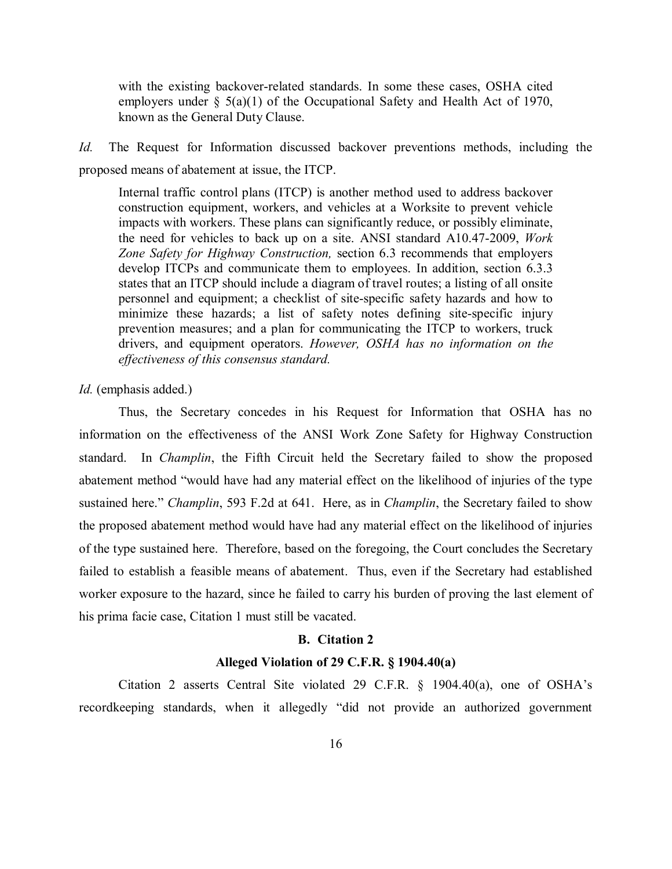with the existing backover-related standards. In some these cases, OSHA cited employers under § 5(a)(1) of the Occupational Safety and Health Act of 1970, known as the General Duty Clause.

*Id.* The Request for Information discussed backover preventions methods, including the proposed means of abatement at issue, the ITCP.

Internal traffic control plans (ITCP) is another method used to address backover construction equipment, workers, and vehicles at a Worksite to prevent vehicle impacts with workers. These plans can significantly reduce, or possibly eliminate, the need for vehicles to back up on a site. ANSI standard A10.47-2009, *Work Zone Safety for Highway Construction,* section 6.3 recommends that employers develop ITCPs and communicate them to employees. In addition, section 6.3.3 states that an ITCP should include a diagram of travel routes; a listing of all onsite personnel and equipment; a checklist of site-specific safety hazards and how to minimize these hazards; a list of safety notes defining site-specific injury prevention measures; and a plan for communicating the ITCP to workers, truck drivers, and equipment operators. *However, OSHA has no information on the effectiveness of this consensus standard.*

*Id.* (emphasis added.)

Thus, the Secretary concedes in his Request for Information that OSHA has no information on the effectiveness of the ANSI Work Zone Safety for Highway Construction standard. In *Champlin*, the Fifth Circuit held the Secretary failed to show the proposed abatement method "would have had any material effect on the likelihood of injuries of the type sustained here." *Champlin*, 593 F.2d at 641. Here, as in *Champlin*, the Secretary failed to show the proposed abatement method would have had any material effect on the likelihood of injuries of the type sustained here. Therefore, based on the foregoing, the Court concludes the Secretary failed to establish a feasible means of abatement. Thus, even if the Secretary had established worker exposure to the hazard, since he failed to carry his burden of proving the last element of his prima facie case, Citation 1 must still be vacated.

# **B. Citation 2**

#### **Alleged Violation of 29 C.F.R. § 1904.40(a)**

Citation 2 asserts Central Site violated 29 C.F.R. § 1904.40(a), one of OSHA's recordkeeping standards, when it allegedly "did not provide an authorized government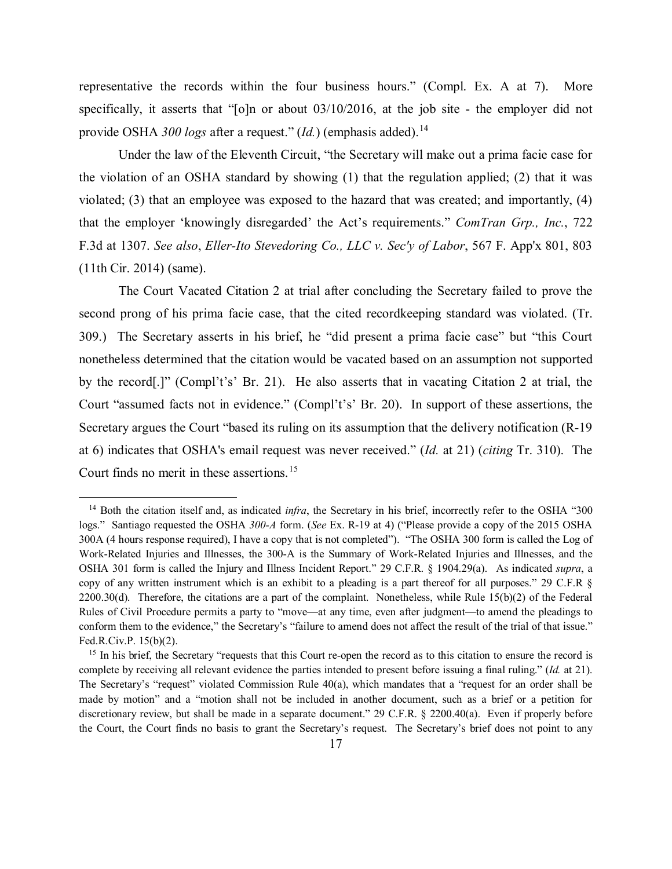representative the records within the four business hours." (Compl. Ex. A at 7). More specifically, it asserts that "[o]n or about 03/10/2016, at the job site - the employer did not provide OSHA *300 logs* after a request." (*Id.*) (emphasis added).[14](#page-16-0)

Under the law of the Eleventh Circuit, "the Secretary will make out a prima facie case for the violation of an OSHA standard by showing (1) that the regulation applied; (2) that it was violated; (3) that an employee was exposed to the hazard that was created; and importantly, (4) that the employer 'knowingly disregarded' the Act's requirements." *ComTran Grp., Inc.*, 722 F.3d at 1307. *See also*, *Eller-Ito Stevedoring Co., LLC v. Sec'y of Labor*, 567 F. App'x 801, 803 (11th Cir. 2014) (same).

The Court Vacated Citation 2 at trial after concluding the Secretary failed to prove the second prong of his prima facie case, that the cited recordkeeping standard was violated. (Tr. 309.) The Secretary asserts in his brief, he "did present a prima facie case" but "this Court nonetheless determined that the citation would be vacated based on an assumption not supported by the record[.]" (Compl't's' Br. 21). He also asserts that in vacating Citation 2 at trial, the Court "assumed facts not in evidence." (Compl't's' Br. 20). In support of these assertions, the Secretary argues the Court "based its ruling on its assumption that the delivery notification (R-19 at 6) indicates that OSHA's email request was never received." (*Id.* at 21) (*citing* Tr. 310). The Court finds no merit in these assertions. [15](#page-16-1)

<span id="page-16-0"></span><sup>&</sup>lt;sup>14</sup> Both the citation itself and, as indicated *infra*, the Secretary in his brief, incorrectly refer to the OSHA "300 logs." Santiago requested the OSHA *300-A* form. (*See* Ex. R-19 at 4) ("Please provide a copy of the 2015 OSHA 300A (4 hours response required), I have a copy that is not completed"). "The OSHA 300 form is called the Log of Work-Related Injuries and Illnesses, the 300-A is the Summary of Work-Related Injuries and Illnesses, and the OSHA 301 form is called the Injury and Illness Incident Report." 29 C.F.R. § 1904.29(a). As indicated *supra*, a copy of any written instrument which is an exhibit to a pleading is a part thereof for all purposes." 29 C.F.R §  $2200.30(d)$ . Therefore, the citations are a part of the complaint. Nonetheless, while Rule  $15(b)(2)$  of the Federal Rules of Civil Procedure permits a party to "move—at any time, even after judgment—to amend the pleadings to conform them to the evidence," the Secretary's "failure to amend does not affect the result of the trial of that issue." Fed.R.Civ.P. 15(b)(2).

<span id="page-16-1"></span><sup>&</sup>lt;sup>15</sup> In his brief, the Secretary "requests that this Court re-open the record as to this citation to ensure the record is complete by receiving all relevant evidence the parties intended to present before issuing a final ruling." (*Id.* at 21). The Secretary's "request" violated Commission Rule 40(a), which mandates that a "request for an order shall be made by motion" and a "motion shall not be included in another document, such as a brief or a petition for discretionary review, but shall be made in a separate document." 29 C.F.R. § 2200.40(a). Even if properly before the Court, the Court finds no basis to grant the Secretary's request. The Secretary's brief does not point to any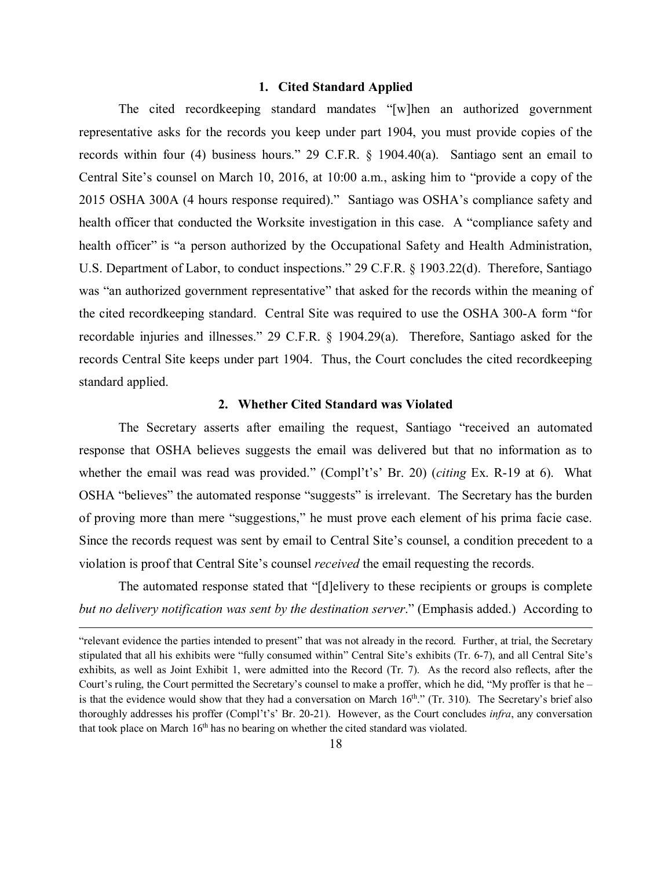# **1. Cited Standard Applied**

The cited recordkeeping standard mandates "[w]hen an authorized government representative asks for the records you keep under part 1904, you must provide copies of the records within four (4) business hours." 29 C.F.R. § 1904.40(a). Santiago sent an email to Central Site's counsel on March 10, 2016, at 10:00 a.m., asking him to "provide a copy of the 2015 OSHA 300A (4 hours response required)." Santiago was OSHA's compliance safety and health officer that conducted the Worksite investigation in this case. A "compliance safety and health officer" is "a person authorized by the Occupational Safety and Health Administration, U.S. Department of Labor, to conduct inspections." 29 C.F.R. § 1903.22(d). Therefore, Santiago was "an authorized government representative" that asked for the records within the meaning of the cited recordkeeping standard. Central Site was required to use the OSHA 300-A form "for recordable injuries and illnesses." 29 C.F.R. § 1904.29(a). Therefore, Santiago asked for the records Central Site keeps under part 1904. Thus, the Court concludes the cited recordkeeping standard applied.

# **2. Whether Cited Standard was Violated**

The Secretary asserts after emailing the request, Santiago "received an automated response that OSHA believes suggests the email was delivered but that no information as to whether the email was read was provided." (Compl't's' Br. 20) (*citing* Ex. R-19 at 6). What OSHA "believes" the automated response "suggests" is irrelevant. The Secretary has the burden of proving more than mere "suggestions," he must prove each element of his prima facie case. Since the records request was sent by email to Central Site's counsel, a condition precedent to a violation is proof that Central Site's counsel *received* the email requesting the records.

The automated response stated that "[d]elivery to these recipients or groups is complete *but no delivery notification was sent by the destination server*." (Emphasis added.) According to

Ĩ. "relevant evidence the parties intended to present" that was not already in the record. Further, at trial, the Secretary stipulated that all his exhibits were "fully consumed within" Central Site's exhibits (Tr. 6-7), and all Central Site's exhibits, as well as Joint Exhibit 1, were admitted into the Record (Tr. 7). As the record also reflects, after the Court's ruling, the Court permitted the Secretary's counsel to make a proffer, which he did, "My proffer is that he – is that the evidence would show that they had a conversation on March 16<sup>th</sup>." (Tr. 310). The Secretary's brief also thoroughly addresses his proffer (Compl't's' Br. 20-21). However, as the Court concludes *infra*, any conversation that took place on March  $16<sup>th</sup>$  has no bearing on whether the cited standard was violated.